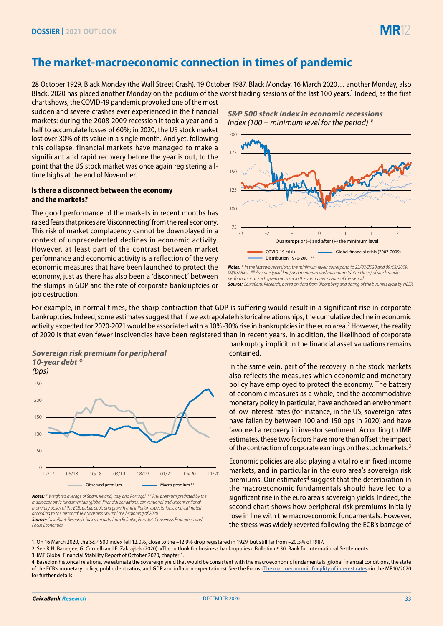## **The market-macroeconomic connection in times of pandemic**

28 October 1929, Black Monday (the Wall Street Crash). 19 October 1987, Black Monday. 16 March 2020… another Monday, also Black. 2020 has placed another Monday on the podium of the worst trading sessions of the last 100 years.<sup>1</sup> Indeed, as the first

chart shows, the COVID-19 pandemic provoked one of the most sudden and severe crashes ever experienced in the financial markets: during the 2008-2009 recession it took a year and a half to accumulate losses of 60%; in 2020, the US stock market lost over 30% of its value in a single month. And yet, following this collapse, financial markets have managed to make a significant and rapid recovery before the year is out, to the point that the US stock market was once again registering alltime highs at the end of November.

## **Is there a disconnect between the economy and the markets?**

The good performance of the markets in recent months has raised fears that prices are 'disconnecting' from the real economy. This risk of market complacency cannot be downplayed in a context of unprecedented declines in economic activity. However, at least part of the contrast between market performance and economic activity is a reflection of the very economic measures that have been launched to protect the economy, just as there has also been a 'disconnect' between the slumps in GDP and the rate of corporate bankruptcies or job destruction.

*S&P 500 stock index in economic recessions Index (100 = minimum level for the period) \**



*Notes: \* In the last two recessions, the minimum levels correspond to 23/03/2020 and 09/03/2009. 09/03/2009. \*\* Average (solid line) and minimum and maximum (dotted lines) of stock market performance at each given moment in the various recessions of the period. Source: CaixaBank Research, based on data from Bloomberg and dating of the business cycle by NBER.*

For example, in normal times, the sharp contraction that GDP is suffering would result in a significant rise in corporate bankruptcies. Indeed, some estimates suggest that if we extrapolate historical relationships, the cumulative decline in economic activity expected for 2020-2021 would be associated with a 10%-30% rise in bankruptcies in the euro area.<sup>2</sup> However, the reality of 2020 is that even fewer insolvencies have been registered than in recent years. In addition, the likelihood of corporate

**Sovereign risk premium for peripheral 10-year debt \***



*Not***e***s: \** Weighted average of Spain, Ireland, Italy and Portugal. \*\* Risk premium predicted by the macroeconomic fundamentals (global financial conditions, conventional and unconventional monetary policy of the ECB, public debt, and growth and inflation expectations) and estimated according to the historical relationships up until the beginning of 2020. **Source***:* CaixaBank Research, based on data from Refinitiv, Eurostat, Consensus Economics and Focus Economics.

bankruptcy implicit in the financial asset valuations remains contained.

In the same vein, part of the recovery in the stock markets also reflects the measures which economic and monetary policy have employed to protect the economy. The battery of economic measures as a whole, and the accommodative monetary policy in particular, have anchored an environment of low interest rates (for instance, in the US, sovereign rates have fallen by between 100 and 150 bps in 2020) and have favoured a recovery in investor sentiment. According to IMF estimates, these two factors have more than offset the impact of the contraction of corporate earnings on the stock markets.<sup>3</sup>

Economic policies are also playing a vital role in fixed income markets, and in particular in the euro area's sovereign risk premiums. Our estimates<sup>4</sup> suggest that the deterioration in the macroeconomic fundamentals should have led to a significant rise in the euro area's sovereign yields. Indeed, the second chart shows how peripheral risk premiums initially rose in line with the macroeconomic fundamentals. However, the stress was widely reverted following the ECB's barrage of

1. On 16 March 2020, the S&P 500 index fell 12.0%, close to the –12.9% drop registered in 1929, but still far from –20.5% of 1987.

2. See R.N. Banerjee, G. Cornelli and E. Zakrajšek (2020). «The outlook for business bankruptcies». Bulletin nº 30. Bank for International Settlements.

3. IMF Global Financial Stability Report of October 2020, chapter 1.

4. Based on historical relations, we estimate the sovereign yield that would be consistent with the macroeconomic fundamentals (global financial conditions, the state of the ECB's monetary policy, public debt ratios, and GDP and inflation expectations). See the Focus [«The macroeconomic fragility of interest rates»](https://www.caixabankresearch.com/en/economics-markets/monetary-policy/macroeconomic-fragility-interest-rates) in the MR10/2020 for further details.